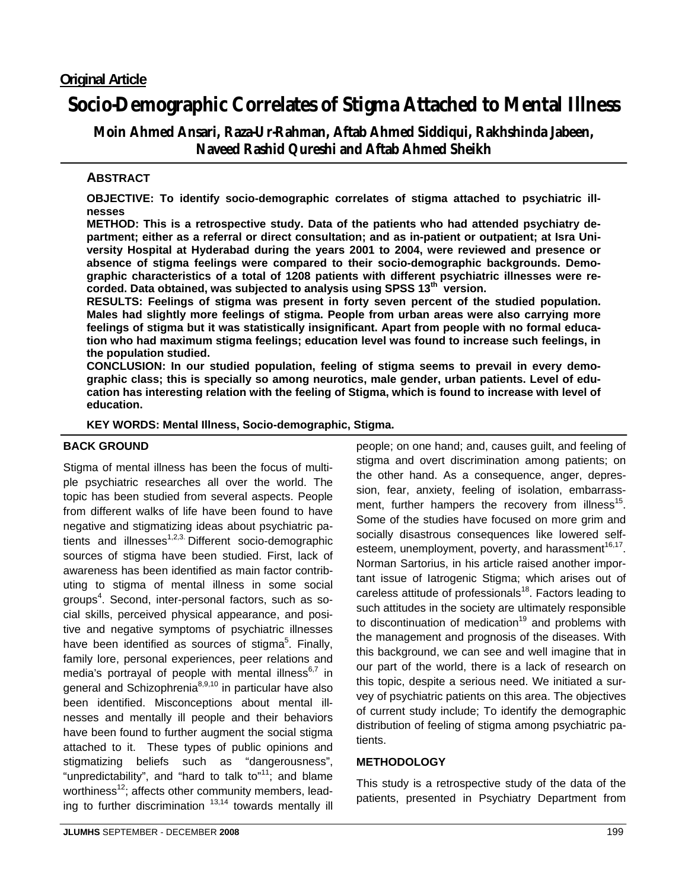# **Socio-Demographic Correlates of Stigma Attached to Mental Illness**

**Moin Ahmed Ansari, Raza-Ur-Rahman, Aftab Ahmed Siddiqui, Rakhshinda Jabeen, Naveed Rashid Qureshi and Aftab Ahmed Sheikh** 

# **ABSTRACT**

**OBJECTIVE: To identify socio-demographic correlates of stigma attached to psychiatric illnesses** 

**METHOD: This is a retrospective study. Data of the patients who had attended psychiatry department; either as a referral or direct consultation; and as in-patient or outpatient; at Isra University Hospital at Hyderabad during the years 2001 to 2004, were reviewed and presence or absence of stigma feelings were compared to their socio-demographic backgrounds. Demographic characteristics of a total of 1208 patients with different psychiatric illnesses were recorded. Data obtained, was subjected to analysis using SPSS 13th version.** 

**RESULTS: Feelings of stigma was present in forty seven percent of the studied population. Males had slightly more feelings of stigma. People from urban areas were also carrying more feelings of stigma but it was statistically insignificant. Apart from people with no formal education who had maximum stigma feelings; education level was found to increase such feelings, in the population studied.** 

**CONCLUSION: In our studied population, feeling of stigma seems to prevail in every demographic class; this is specially so among neurotics, male gender, urban patients. Level of education has interesting relation with the feeling of Stigma, which is found to increase with level of education.** 

**KEY WORDS: Mental Illness, Socio-demographic, Stigma.** 

# **BACK GROUND**

Stigma of mental illness has been the focus of multiple psychiatric researches all over the world. The topic has been studied from several aspects. People from different walks of life have been found to have negative and stigmatizing ideas about psychiatric patients and illnesses<sup>1,2,3</sup> Different socio-demographic sources of stigma have been studied. First, lack of awareness has been identified as main factor contributing to stigma of mental illness in some social groups<sup>4</sup>. Second, inter-personal factors, such as social skills, perceived physical appearance, and positive and negative symptoms of psychiatric illnesses have been identified as sources of stigma<sup>5</sup>. Finally, family lore, personal experiences, peer relations and media's portrayal of people with mental illness $6,7$  in general and Schizophrenia<sup>8,9,10</sup> in particular have also been identified. Misconceptions about mental illnesses and mentally ill people and their behaviors have been found to further augment the social stigma attached to it. These types of public opinions and stigmatizing beliefs such as "dangerousness", "unpredictability", and "hard to talk to" $11$ ; and blame worthiness $^{12}$ ; affects other community members, leading to further discrimination  $13,14$  towards mentally ill

people; on one hand; and, causes guilt, and feeling of stigma and overt discrimination among patients; on the other hand. As a consequence, anger, depression, fear, anxiety, feeling of isolation, embarrassment, further hampers the recovery from illness<sup>15</sup>. Some of the studies have focused on more grim and socially disastrous consequences like lowered selfesteem, unemployment, poverty, and harassment<sup>16,17</sup>. Norman Sartorius, in his article raised another important issue of Iatrogenic Stigma; which arises out of careless attitude of professionals<sup>18</sup>. Factors leading to such attitudes in the society are ultimately responsible to discontinuation of medication<sup>19</sup> and problems with the management and prognosis of the diseases. With this background, we can see and well imagine that in our part of the world, there is a lack of research on this topic, despite a serious need. We initiated a survey of psychiatric patients on this area. The objectives of current study include; To identify the demographic distribution of feeling of stigma among psychiatric patients.

# **METHODOLOGY**

This study is a retrospective study of the data of the patients, presented in Psychiatry Department from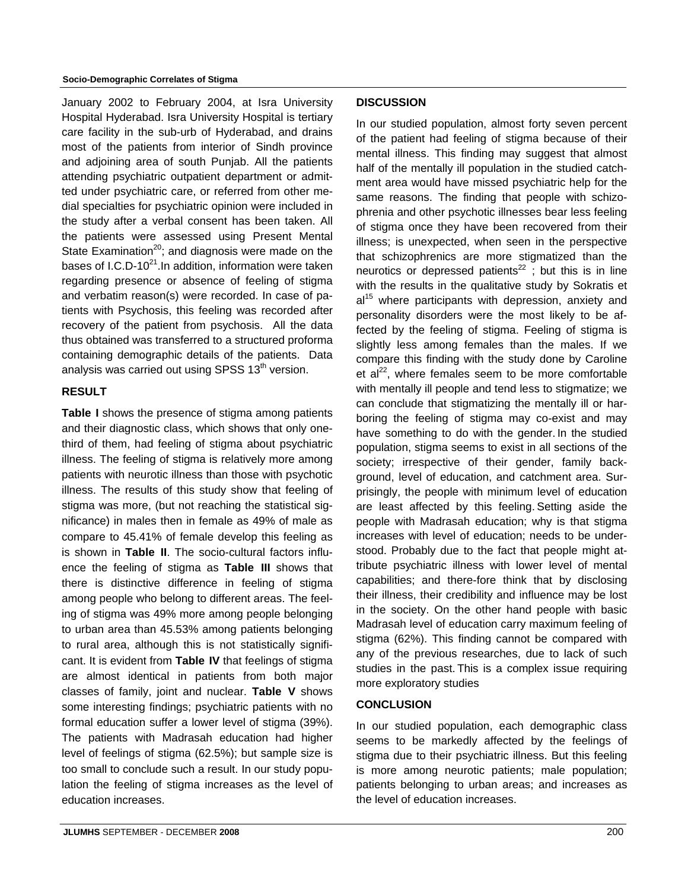January 2002 to February 2004, at Isra University Hospital Hyderabad. Isra University Hospital is tertiary care facility in the sub-urb of Hyderabad, and drains most of the patients from interior of Sindh province and adjoining area of south Punjab. All the patients attending psychiatric outpatient department or admitted under psychiatric care, or referred from other medial specialties for psychiatric opinion were included in the study after a verbal consent has been taken. All the patients were assessed using Present Mental State Examination $20$ ; and diagnosis were made on the bases of I.C.D-10 $^{21}$ . In addition, information were taken regarding presence or absence of feeling of stigma and verbatim reason(s) were recorded. In case of patients with Psychosis, this feeling was recorded after recovery of the patient from psychosis. All the data thus obtained was transferred to a structured proforma containing demographic details of the patients. Data analysis was carried out using SPSS  $13<sup>th</sup>$  version.

#### **RESULT**

**Table I** shows the presence of stigma among patients and their diagnostic class, which shows that only onethird of them, had feeling of stigma about psychiatric illness. The feeling of stigma is relatively more among patients with neurotic illness than those with psychotic illness. The results of this study show that feeling of stigma was more, (but not reaching the statistical significance) in males then in female as 49% of male as compare to 45.41% of female develop this feeling as is shown in **Table II**. The socio-cultural factors influence the feeling of stigma as **Table III** shows that there is distinctive difference in feeling of stigma among people who belong to different areas. The feeling of stigma was 49% more among people belonging to urban area than 45.53% among patients belonging to rural area, although this is not statistically significant. It is evident from **Table IV** that feelings of stigma are almost identical in patients from both major classes of family, joint and nuclear. **Table V** shows some interesting findings; psychiatric patients with no formal education suffer a lower level of stigma (39%). The patients with Madrasah education had higher level of feelings of stigma (62.5%); but sample size is too small to conclude such a result. In our study population the feeling of stigma increases as the level of education increases.

#### **DISCUSSION**

In our studied population, almost forty seven percent of the patient had feeling of stigma because of their mental illness. This finding may suggest that almost half of the mentally ill population in the studied catchment area would have missed psychiatric help for the same reasons. The finding that people with schizophrenia and other psychotic illnesses bear less feeling of stigma once they have been recovered from their illness; is unexpected, when seen in the perspective that schizophrenics are more stigmatized than the neurotics or depressed patients $^{22}$ ; but this is in line with the results in the qualitative study by Sokratis et  $al<sup>15</sup>$  where participants with depression, anxiety and personality disorders were the most likely to be affected by the feeling of stigma. Feeling of stigma is slightly less among females than the males. If we compare this finding with the study done by Caroline et  $al^{22}$ , where females seem to be more comfortable with mentally ill people and tend less to stigmatize; we can conclude that stigmatizing the mentally ill or harboring the feeling of stigma may co-exist and may have something to do with the gender. In the studied population, stigma seems to exist in all sections of the society; irrespective of their gender, family background, level of education, and catchment area. Surprisingly, the people with minimum level of education are least affected by this feeling. Setting aside the people with Madrasah education; why is that stigma increases with level of education; needs to be understood. Probably due to the fact that people might attribute psychiatric illness with lower level of mental capabilities; and there-fore think that by disclosing their illness, their credibility and influence may be lost in the society. On the other hand people with basic Madrasah level of education carry maximum feeling of stigma (62%). This finding cannot be compared with any of the previous researches, due to lack of such studies in the past. This is a complex issue requiring more exploratory studies

# **CONCLUSION**

In our studied population, each demographic class seems to be markedly affected by the feelings of stigma due to their psychiatric illness. But this feeling is more among neurotic patients; male population; patients belonging to urban areas; and increases as the level of education increases.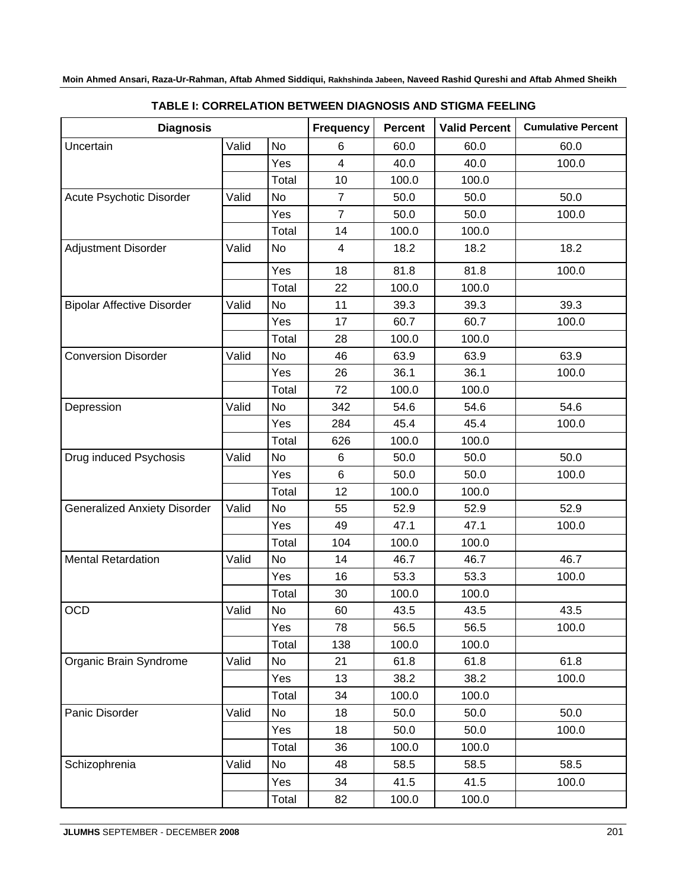| <b>Diagnosis</b>                    |       |           | <b>Frequency</b>        | <b>Percent</b> | <b>Valid Percent</b> | <b>Cumulative Percent</b> |
|-------------------------------------|-------|-----------|-------------------------|----------------|----------------------|---------------------------|
| Uncertain                           | Valid | No        | 6                       | 60.0           | 60.0                 | 60.0                      |
|                                     |       | Yes       | $\overline{\mathbf{4}}$ | 40.0           | 40.0                 | 100.0                     |
|                                     |       | Total     | 10                      | 100.0          | 100.0                |                           |
| Acute Psychotic Disorder            | Valid | No        | $\overline{7}$          | 50.0           | 50.0                 | 50.0                      |
|                                     |       | Yes       | $\overline{7}$          | 50.0           | 50.0                 | 100.0                     |
|                                     |       | Total     | 14                      | 100.0          | 100.0                |                           |
| Adjustment Disorder                 | Valid | No        | $\overline{4}$          | 18.2           | 18.2                 | 18.2                      |
|                                     |       | Yes       | 18                      | 81.8           | 81.8                 | 100.0                     |
|                                     |       | Total     | 22                      | 100.0          | 100.0                |                           |
| <b>Bipolar Affective Disorder</b>   | Valid | No        | 11                      | 39.3           | 39.3                 | 39.3                      |
|                                     |       | Yes       | 17                      | 60.7           | 60.7                 | 100.0                     |
|                                     |       | Total     | 28                      | 100.0          | 100.0                |                           |
| <b>Conversion Disorder</b>          | Valid | <b>No</b> | 46                      | 63.9           | 63.9                 | 63.9                      |
|                                     |       | Yes       | 26                      | 36.1           | 36.1                 | 100.0                     |
|                                     |       | Total     | 72                      | 100.0          | 100.0                |                           |
| Depression                          | Valid | No        | 342                     | 54.6           | 54.6                 | 54.6                      |
|                                     |       | Yes       | 284                     | 45.4           | 45.4                 | 100.0                     |
|                                     |       | Total     | 626                     | 100.0          | 100.0                |                           |
| Drug induced Psychosis              | Valid | No        | 6                       | 50.0           | 50.0                 | 50.0                      |
|                                     |       | Yes       | 6                       | 50.0           | 50.0                 | 100.0                     |
|                                     |       | Total     | 12                      | 100.0          | 100.0                |                           |
| <b>Generalized Anxiety Disorder</b> | Valid | No        | 55                      | 52.9           | 52.9                 | 52.9                      |
|                                     |       | Yes       | 49                      | 47.1           | 47.1                 | 100.0                     |
|                                     |       | Total     | 104                     | 100.0          | 100.0                |                           |
| <b>Mental Retardation</b>           | Valid | No        | 14                      | 46.7           | 46.7                 | 46.7                      |
|                                     |       | Yes       | 16                      | 53.3           | 53.3                 | 100.0                     |
|                                     |       | Total     | 30                      | 100.0          | 100.0                |                           |
| <b>OCD</b>                          | Valid | No        | 60                      | 43.5           | 43.5                 | 43.5                      |
|                                     |       | Yes       | 78                      | 56.5           | 56.5                 | 100.0                     |
|                                     |       | Total     | 138                     | 100.0          | 100.0                |                           |
| Organic Brain Syndrome              | Valid | No        | 21                      | 61.8           | 61.8                 | 61.8                      |
|                                     |       | Yes       | 13                      | 38.2           | 38.2                 | 100.0                     |
|                                     |       | Total     | 34                      | 100.0          | 100.0                |                           |
| Panic Disorder                      | Valid | No        | 18                      | 50.0           | 50.0                 | 50.0                      |
|                                     |       | Yes       | 18                      | 50.0           | 50.0                 | 100.0                     |
|                                     |       | Total     | 36                      | 100.0          | 100.0                |                           |
| Schizophrenia                       | Valid | No        | 48                      | 58.5           | 58.5                 | 58.5                      |
|                                     |       | Yes       | 34                      | 41.5           | 41.5                 | 100.0                     |
|                                     |       | Total     | 82                      | 100.0          | 100.0                |                           |

# **TABLE I: CORRELATION BETWEEN DIAGNOSIS AND STIGMA FEELING**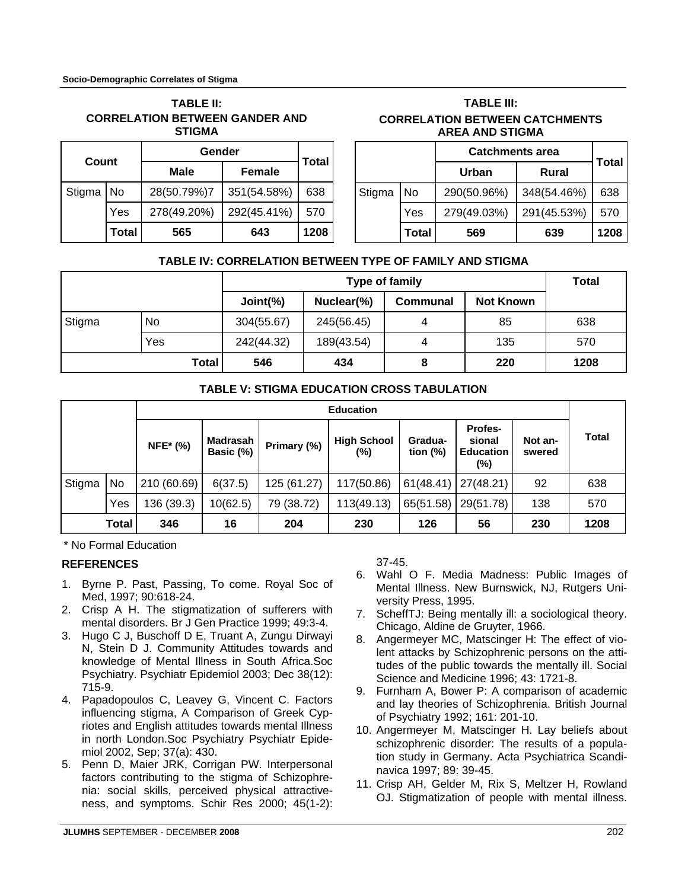| <b>TABLE II:</b>                      |
|---------------------------------------|
| <b>CORRELATION BETWEEN GANDER AND</b> |
| STIGMA                                |

| Count       |       | Gender      | <b>Total</b>  |      |
|-------------|-------|-------------|---------------|------|
|             |       | <b>Male</b> | <b>Female</b> |      |
| Stigma   No |       | 28(50.79%)7 | 351(54.58%)   | 638  |
|             | Yes   | 278(49.20%) | 292(45.41%)   | 570  |
|             | Total | 565         | 643           | 1208 |

# **TABLE III: CORRELATION BETWEEN CATCHMENTS AREA AND STIGMA**

|        |       | <b>Catchments area</b>       | <b>Total</b> |      |
|--------|-------|------------------------------|--------------|------|
|        |       | <b>Urban</b><br><b>Rural</b> |              |      |
| Stigma | No    | 290(50.96%)                  | 348(54.46%)  | 638  |
|        | Yes   | 279(49.03%)                  | 291(45.53%)  | 570  |
|        | Total | 569                          | 639          | 1208 |

# **TABLE IV: CORRELATION BETWEEN TYPE OF FAMILY AND STIGMA**

|        |       | Type of family |            |                 |                  | <b>Total</b> |
|--------|-------|----------------|------------|-----------------|------------------|--------------|
|        |       | Joint(%)       | Nuclear(%) | <b>Communal</b> | <b>Not Known</b> |              |
| Stigma | No.   | 304(55.67)     | 245(56.45) | 4               | 85               | 638          |
|        | Yes   | 242(44.32)     | 189(43.54) | 4               | 135              | 570          |
|        | Total | 546            | 434        | 8               | 220              | 1208         |

# **TABLE V: STIGMA EDUCATION CROSS TABULATION**

|        |       | <b>Education</b> |                       |             |                           |                        |                                                     |                   |              |
|--------|-------|------------------|-----------------------|-------------|---------------------------|------------------------|-----------------------------------------------------|-------------------|--------------|
|        |       | <b>NFE*</b> (%)  | Madrasah<br>Basic (%) | Primary (%) | <b>High School</b><br>(%) | Gradua-<br>tion $(\%)$ | <b>Profes-</b><br>sional<br><b>Education</b><br>(%) | Not an-<br>swered | <b>Total</b> |
| Stigma | No.   | 210 (60.69)      | 6(37.5)               | 125 (61.27) | 117(50.86)                | 61(48.41)              | 27(48.21)                                           | 92                | 638          |
|        | Yes   | 136 (39.3)       | 10(62.5)              | 79 (38.72)  | 113(49.13)                | 65(51.58)              | 29(51.78)                                           | 138               | 570          |
|        | Total | 346              | 16                    | 204         | 230                       | 126                    | 56                                                  | 230               | 1208         |

\* No Formal Education

# **REFERENCES**

- 1. Byrne P. Past, Passing, To come. Royal Soc of Med, 1997; 90:618-24.
- 2. Crisp A H. The stigmatization of sufferers with mental disorders. Br J Gen Practice 1999; 49:3-4.
- 3. Hugo C J, Buschoff D E, Truant A, Zungu Dirwayi N, Stein D J. Community Attitudes towards and knowledge of Mental Illness in South Africa.Soc Psychiatry. Psychiatr Epidemiol 2003; Dec 38(12): 715-9.
- 4. Papadopoulos C, Leavey G, Vincent C. Factors influencing stigma, A Comparison of Greek Cypriotes and English attitudes towards mental Illness in north London.Soc Psychiatry Psychiatr Epidemiol 2002, Sep; 37(a): 430.
- 5. Penn D, Maier JRK, Corrigan PW. Interpersonal factors contributing to the stigma of Schizophrenia: social skills, perceived physical attractiveness, and symptoms. Schir Res 2000; 45(1-2):

37-45.

- 6. Wahl O F. Media Madness: Public Images of Mental Illness. New Burnswick, NJ, Rutgers University Press, 1995.
- 7. ScheffTJ: Being mentally ill: a sociological theory. Chicago, Aldine de Gruyter, 1966.
- 8. Angermeyer MC, Matscinger H: The effect of violent attacks by Schizophrenic persons on the attitudes of the public towards the mentally ill. Social Science and Medicine 1996; 43: 1721-8.
- 9. Furnham A, Bower P: A comparison of academic and lay theories of Schizophrenia. British Journal of Psychiatry 1992; 161: 201-10.
- 10. Angermeyer M, Matscinger H. Lay beliefs about schizophrenic disorder: The results of a population study in Germany. Acta Psychiatrica Scandinavica 1997; 89: 39-45.
- 11. Crisp AH, Gelder M, Rix S, Meltzer H, Rowland OJ. Stigmatization of people with mental illness.